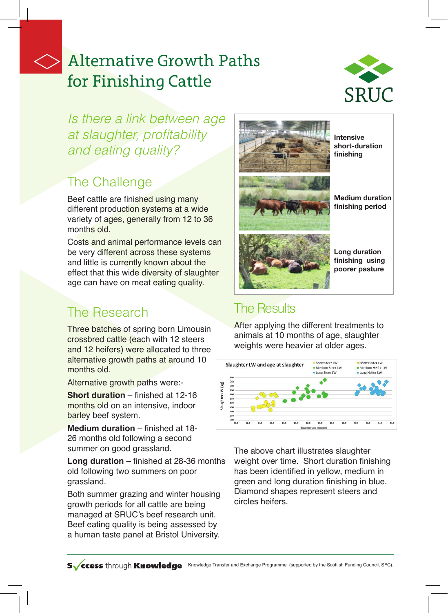# Alternative Growth Paths for Finishing Cattle



*Is there a link between age*  at slaughter, profitability and eating quality?

## The Challenge

Beef cattle are finished using many different production systems at a wide variety of ages, generally from 12 to 36 months old.

Costs and animal performance levels can be very different across these systems and little is currently known about the effect that this wide diversity of slaughter age can have on meat eating quality.

## The Research

Three batches of spring born Limousin crossbred cattle (each with 12 steers and 12 heifers) were allocated to three alternative growth paths at around 10 months old.

Alternative growth paths were:-

**Short duration** – finished at 12-16 months old on an intensive, indoor barley beef system.

**Medium duration** – finished at 18- 26 months old following a second summer on good grassland.

**Long duration** – finished at 28-36 months old following two summers on poor grassland.

Both summer grazing and winter housing growth periods for all cattle are being managed at SRUC's beef research unit. Beef eating quality is being assessed by a human taste panel at Bristol University.



# **Medium duration**

**Long duration finishing using poorer pasture**

### The Results

After applying the different treatments to animals at 10 months of age, slaughter weights were heavier at older ages.



The above chart illustrates slaughter weight over time. Short duration finishing has been identified in yellow, medium in green and long duration finishing in blue. Diamond shapes represent steers and circles heifers.

SV ccess through Knowledge Knowledge Transfer and Exchange Programme (supported by the Scottish Funding Council, SFC).